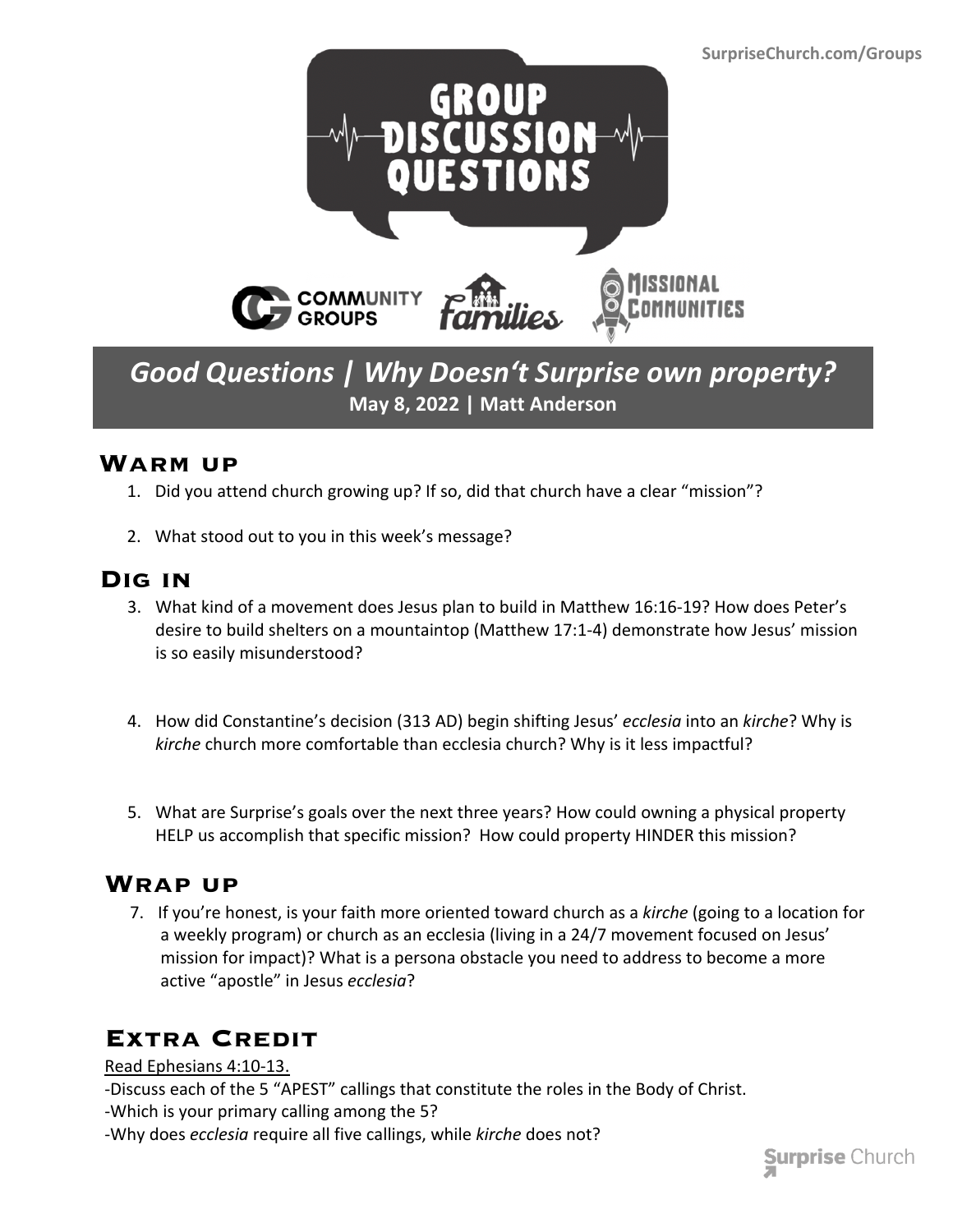

*Good Questions | Why Doesn't Surprise own property?* **May 8, 2022 | Matt Anderson**

#### **Warm up**

- 1. Did you attend church growing up? If so, did that church have a clear "mission"?
- 2. What stood out to you in this week's message?

### **Dig in**

- 3. What kind of a movement does Jesus plan to build in Matthew 16:16-19? How does Peter's desire to build shelters on a mountaintop (Matthew 17:1-4) demonstrate how Jesus' mission is so easily misunderstood?
- 4. How did Constantine's decision (313 AD) begin shifting Jesus' *ecclesia* into an *kirche*? Why is *kirche* church more comfortable than ecclesia church? Why is it less impactful?
- 5. What are Surprise's goals over the next three years? How could owning a physical property HELP us accomplish that specific mission? How could property HINDER this mission?

### **Wrap up**

7. If you're honest, is your faith more oriented toward church as a *kirche* (going to a location for a weekly program) or church as an ecclesia (living in a 24/7 movement focused on Jesus' mission for impact)? What is a persona obstacle you need to address to become a more active "apostle" in Jesus *ecclesia*?

## **Extra Credit**

Read Ephesians 4:10-13.

- -Discuss each of the 5 "APEST" callings that constitute the roles in the Body of Christ.
- -Which is your primary calling among the 5?
- -Why does *ecclesia* require all five callings, while *kirche* does not?